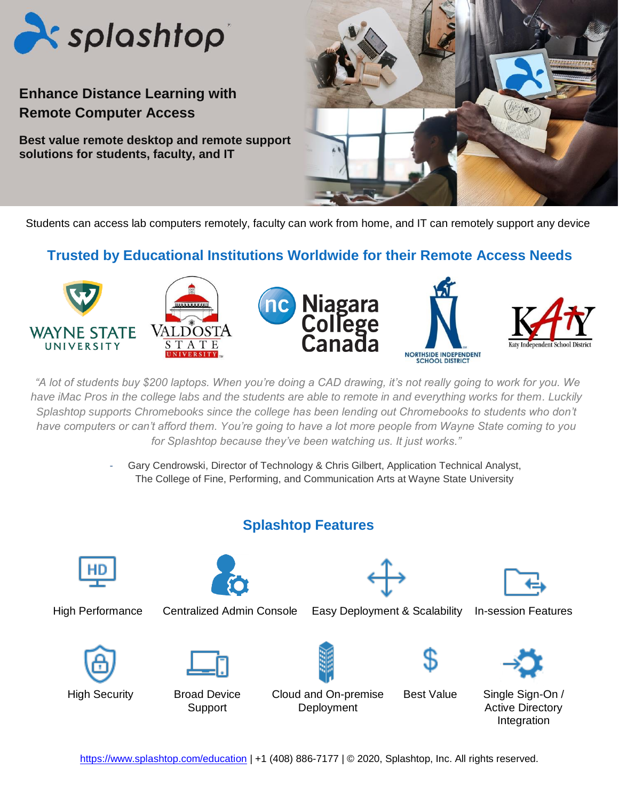

# **Enhance Distance Learning with Remote Computer Access**

**Best value remote desktop and remote support solutions for students, faculty, and IT** 



Students can access lab computers remotely, faculty can work from home, and IT can remotely support any device

### **Trusted by Educational Institutions Worldwide for their Remote Access Needs**



*"A lot of students buy \$200 laptops. When you're doing a CAD drawing, it's not really going to work for you. We have iMac Pros in the college labs and the students are able to remote in and everything works for them. Luckily Splashtop supports Chromebooks since the college has been lending out Chromebooks to students who don't have computers or can't afford them. You're going to have a lot more people from Wayne State coming to you for Splashtop because they've been watching us. It just works."*

> Gary Cendrowski, Director of Technology & Chris Gilbert, Application Technical Analyst, The College of Fine, Performing, and Communication Arts at Wayne State University

### **Splashtop Features**